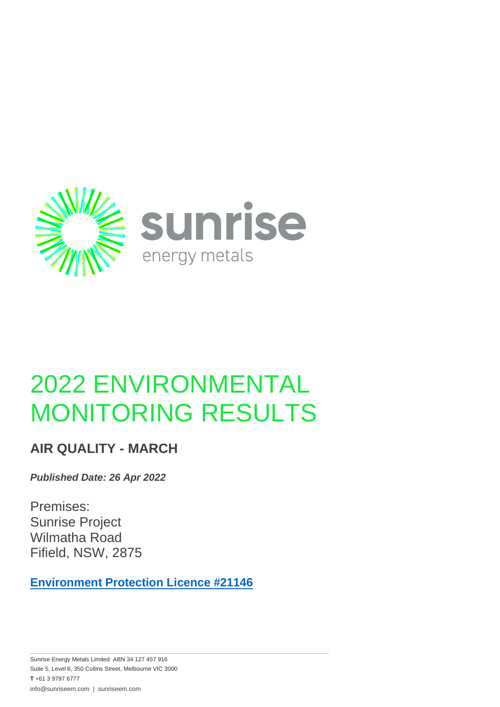

# 2022 ENVIRONMENTAL MONITORING RESULTS

#### **AIR QUALITY - MARCH**

*Published Date: 26 Apr 2022*

Premises: Sunrise Project Wilmatha Road Fifield, NSW, 2875

**[Environment Protection Licence #21146](https://apps.epa.nsw.gov.au/prpoeoapp/ViewPOEOLicence.aspx?DOCID=154721&SYSUID=1&LICID=21146)**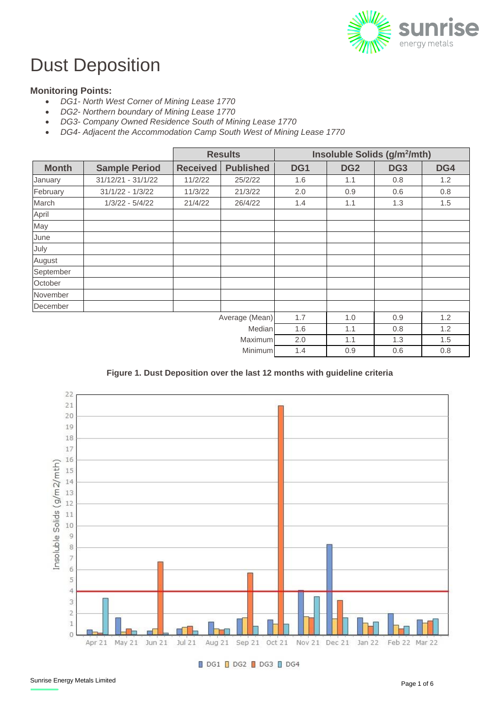

## Dust Deposition

#### **Monitoring Points:**

- *DG1- North West Corner of Mining Lease 1770*
- *DG2- Northern boundary of Mining Lease 1770*
- *DG3- Company Owned Residence South of Mining Lease 1770*
- *DG4- Adjacent the Accommodation Camp South West of Mining Lease 1770*

|              |                      | <b>Results</b>  |                  | Insoluble Solids (g/m <sup>2</sup> /mth) |                 |                 |     |
|--------------|----------------------|-----------------|------------------|------------------------------------------|-----------------|-----------------|-----|
| <b>Month</b> | <b>Sample Period</b> | <b>Received</b> | <b>Published</b> | DG1                                      | DG <sub>2</sub> | DG <sub>3</sub> | DG4 |
| January      | 31/12/21 - 31/1/22   | 11/2/22         | 25/2/22          | 1.6                                      | 1.1             | 0.8             | 1.2 |
| February     | $31/1/22 - 1/3/22$   | 11/3/22         | 21/3/22          | 2.0                                      | 0.9             | 0.6             | 0.8 |
| March        | $1/3/22 - 5/4/22$    | 21/4/22         | 26/4/22          | 1.4                                      | 1.1             | 1.3             | 1.5 |
| April        |                      |                 |                  |                                          |                 |                 |     |
| May          |                      |                 |                  |                                          |                 |                 |     |
| June         |                      |                 |                  |                                          |                 |                 |     |
| July         |                      |                 |                  |                                          |                 |                 |     |
| August       |                      |                 |                  |                                          |                 |                 |     |
| September    |                      |                 |                  |                                          |                 |                 |     |
| October      |                      |                 |                  |                                          |                 |                 |     |
| November     |                      |                 |                  |                                          |                 |                 |     |
| December     |                      |                 |                  |                                          |                 |                 |     |
|              |                      | Average (Mean)  | 1.7              | 1.0                                      | 0.9             | 1.2             |     |
|              |                      |                 | Median           | 1.6                                      | 1.1             | 0.8             | 1.2 |
| Maximum      |                      |                 | 2.0              | 1.1                                      | 1.3             | 1.5             |     |
| Minimum      |                      |                 |                  | 1.4                                      | 0.9             | 0.6             | 0.8 |

**Figure 1. Dust Deposition over the last 12 months with guideline criteria**



DG1 DG2 DG3 DG4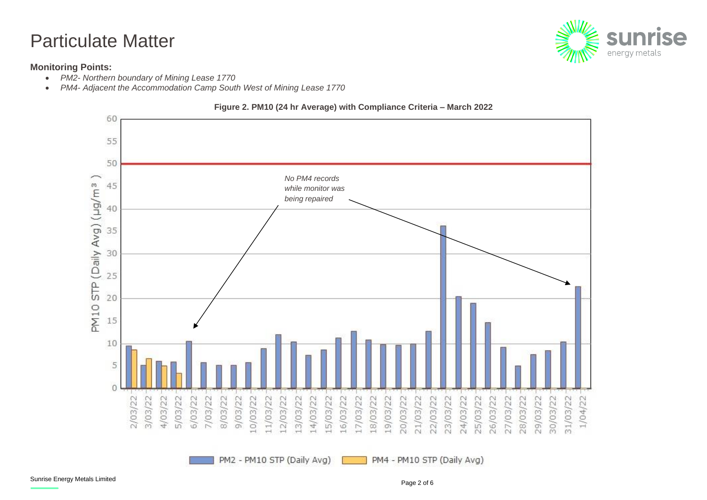### Particulate Matter

#### **Monitoring Points:**

- *PM2- Northern boundary of Mining Lease 1770*
- *PM4- Adjacent the Accommodation Camp South West of Mining Lease 1770*



PM2 - PM10 STP (Daily Avg)





PM4 - PM10 STP (Daily Avg)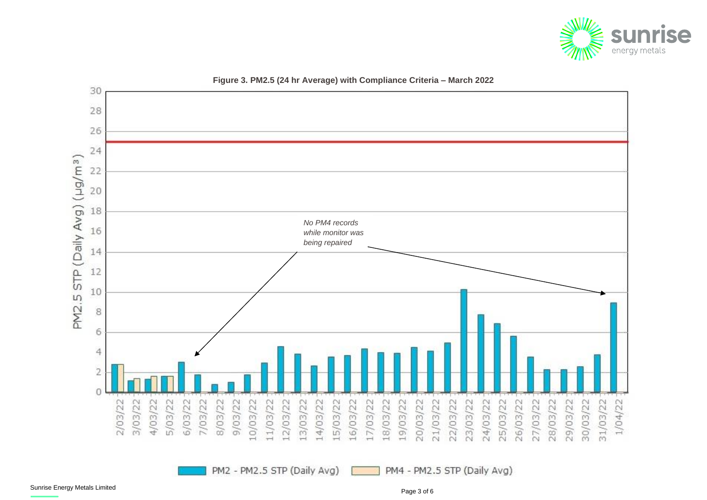

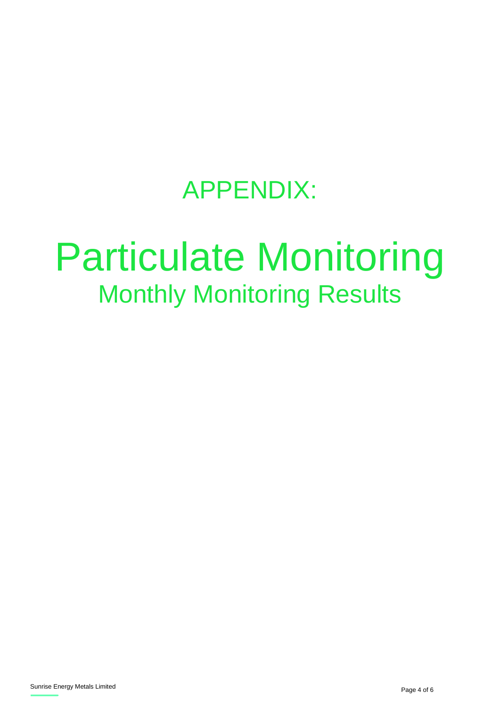## APPENDIX:

# Particulate Monitoring Monthly Monitoring Results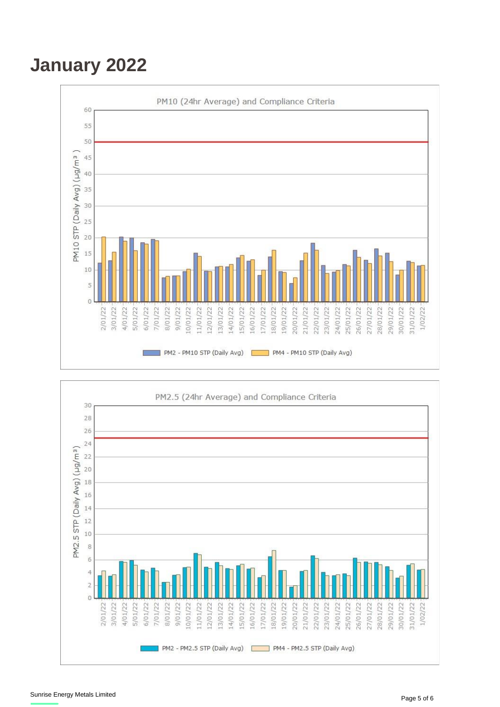## **January 2022**